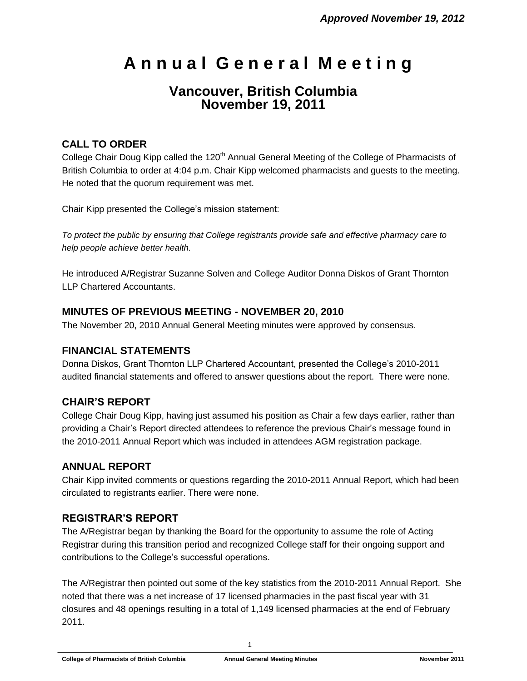# **A n n u a l G e n e r a l M e e t i n g**

# **Vancouver, British Columbia November 19, 2011**

### **CALL TO ORDER**

College Chair Doug Kipp called the 120<sup>th</sup> Annual General Meeting of the College of Pharmacists of British Columbia to order at 4:04 p.m. Chair Kipp welcomed pharmacists and guests to the meeting. He noted that the quorum requirement was met.

Chair Kipp presented the College's mission statement:

*To protect the public by ensuring that College registrants provide safe and effective pharmacy care to help people achieve better health.*

He introduced A/Registrar Suzanne Solven and College Auditor Donna Diskos of Grant Thornton LLP Chartered Accountants.

#### **MINUTES OF PREVIOUS MEETING - NOVEMBER 20, 2010**

The November 20, 2010 Annual General Meeting minutes were approved by consensus.

#### **FINANCIAL STATEMENTS**

Donna Diskos, Grant Thornton LLP Chartered Accountant, presented the College's 2010-2011 audited financial statements and offered to answer questions about the report. There were none.

#### **CHAIR'S REPORT**

College Chair Doug Kipp, having just assumed his position as Chair a few days earlier, rather than providing a Chair's Report directed attendees to reference the previous Chair's message found in the 2010-2011 Annual Report which was included in attendees AGM registration package.

#### **ANNUAL REPORT**

Chair Kipp invited comments or questions regarding the 2010-2011 Annual Report, which had been circulated to registrants earlier. There were none.

#### **REGISTRAR'S REPORT**

The A/Registrar began by thanking the Board for the opportunity to assume the role of Acting Registrar during this transition period and recognized College staff for their ongoing support and contributions to the College's successful operations.

The A/Registrar then pointed out some of the key statistics from the 2010-2011 Annual Report. She noted that there was a net increase of 17 licensed pharmacies in the past fiscal year with 31 closures and 48 openings resulting in a total of 1,149 licensed pharmacies at the end of February 2011.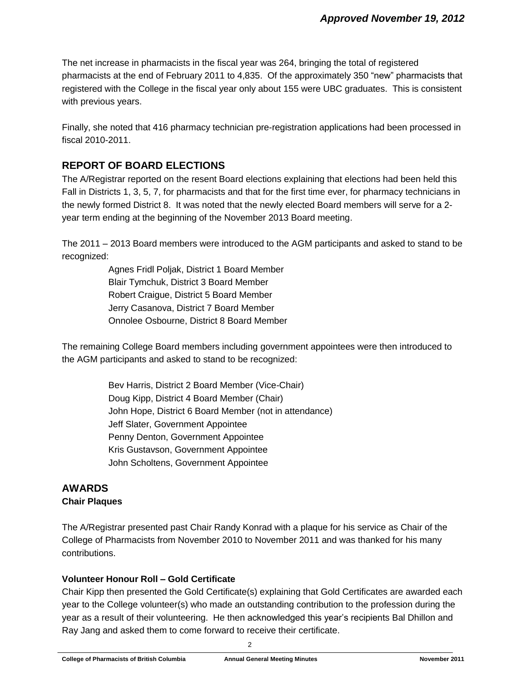The net increase in pharmacists in the fiscal year was 264, bringing the total of registered pharmacists at the end of February 2011 to 4,835. Of the approximately 350 "new" pharmacists that registered with the College in the fiscal year only about 155 were UBC graduates. This is consistent with previous years.

Finally, she noted that 416 pharmacy technician pre-registration applications had been processed in fiscal 2010-2011.

### **REPORT OF BOARD ELECTIONS**

The A/Registrar reported on the resent Board elections explaining that elections had been held this Fall in Districts 1, 3, 5, 7, for pharmacists and that for the first time ever, for pharmacy technicians in the newly formed District 8. It was noted that the newly elected Board members will serve for a 2 year term ending at the beginning of the November 2013 Board meeting.

The 2011 – 2013 Board members were introduced to the AGM participants and asked to stand to be recognized:

> Agnes Fridl Poljak, District 1 Board Member Blair Tymchuk, District 3 Board Member Robert Craigue, District 5 Board Member Jerry Casanova, District 7 Board Member Onnolee Osbourne, District 8 Board Member

The remaining College Board members including government appointees were then introduced to the AGM participants and asked to stand to be recognized:

> Bev Harris, District 2 Board Member (Vice-Chair) Doug Kipp, District 4 Board Member (Chair) John Hope, District 6 Board Member (not in attendance) Jeff Slater, Government Appointee Penny Denton, Government Appointee Kris Gustavson, Government Appointee John Scholtens, Government Appointee

#### **AWARDS Chair Plaques**

The A/Registrar presented past Chair Randy Konrad with a plaque for his service as Chair of the College of Pharmacists from November 2010 to November 2011 and was thanked for his many contributions.

#### **Volunteer Honour Roll – Gold Certificate**

Chair Kipp then presented the Gold Certificate(s) explaining that Gold Certificates are awarded each year to the College volunteer(s) who made an outstanding contribution to the profession during the year as a result of their volunteering. He then acknowledged this year's recipients Bal Dhillon and Ray Jang and asked them to come forward to receive their certificate.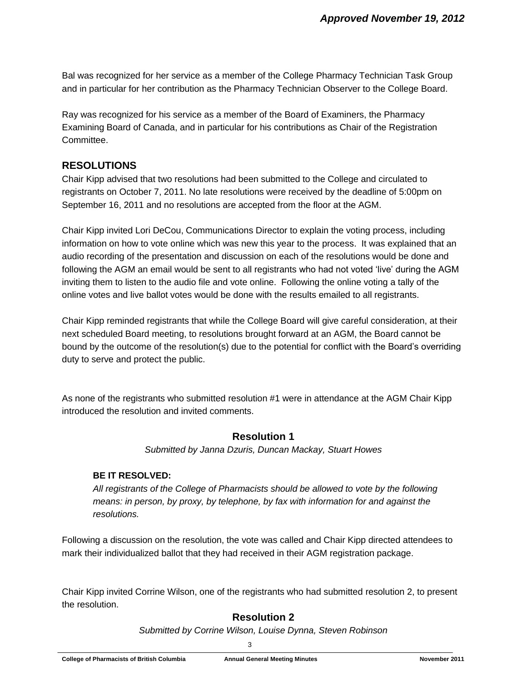Bal was recognized for her service as a member of the College Pharmacy Technician Task Group and in particular for her contribution as the Pharmacy Technician Observer to the College Board.

Ray was recognized for his service as a member of the Board of Examiners, the Pharmacy Examining Board of Canada, and in particular for his contributions as Chair of the Registration Committee.

#### **RESOLUTIONS**

Chair Kipp advised that two resolutions had been submitted to the College and circulated to registrants on October 7, 2011. No late resolutions were received by the deadline of 5:00pm on September 16, 2011 and no resolutions are accepted from the floor at the AGM.

Chair Kipp invited Lori DeCou, Communications Director to explain the voting process, including information on how to vote online which was new this year to the process. It was explained that an audio recording of the presentation and discussion on each of the resolutions would be done and following the AGM an email would be sent to all registrants who had not voted 'live' during the AGM inviting them to listen to the audio file and vote online. Following the online voting a tally of the online votes and live ballot votes would be done with the results emailed to all registrants.

Chair Kipp reminded registrants that while the College Board will give careful consideration, at their next scheduled Board meeting, to resolutions brought forward at an AGM, the Board cannot be bound by the outcome of the resolution(s) due to the potential for conflict with the Board's overriding duty to serve and protect the public.

As none of the registrants who submitted resolution #1 were in attendance at the AGM Chair Kipp introduced the resolution and invited comments.

#### **Resolution 1**

*Submitted by Janna Dzuris, Duncan Mackay, Stuart Howes*

#### **BE IT RESOLVED:**

*All registrants of the College of Pharmacists should be allowed to vote by the following means: in person, by proxy, by telephone, by fax with information for and against the resolutions.*

Following a discussion on the resolution, the vote was called and Chair Kipp directed attendees to mark their individualized ballot that they had received in their AGM registration package.

Chair Kipp invited Corrine Wilson, one of the registrants who had submitted resolution 2, to present the resolution.

## **Resolution 2**

*Submitted by Corrine Wilson, Louise Dynna, Steven Robinson*